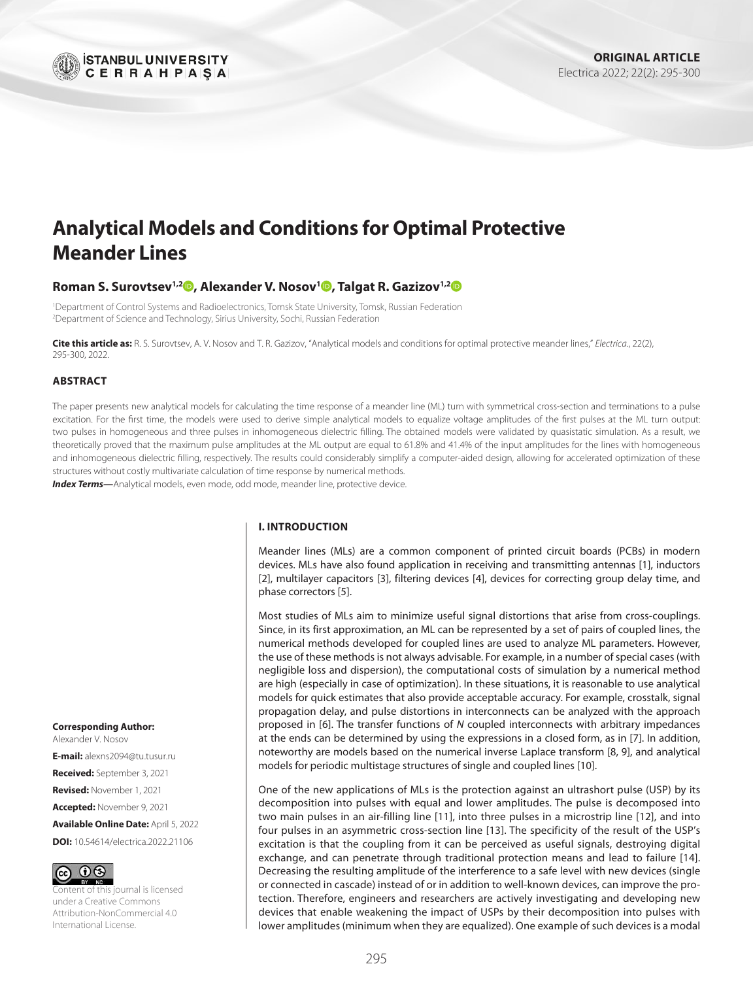

# **Analytical Models and Conditions for Optimal Protective Meander Lines**

## **Roman S. Surovtsev1,2 [,](http://orcid.org/0000-0001-6609-0449) Alexander V. Nosov1 [,](http://orcid.org/0000-0002-5005-3026) Talgat R. Gazizov1,2**

1 Department of Control Systems and Radioelectronics, Tomsk State University, Tomsk, Russian Federation 2 Department of Science and Technology, Sirius University, Sochi, Russian Federation

**Cite this article as:** R. S. Surovtsev, A. V. Nosov and T. R. Gazizov, "Analytical models and conditions for optimal protective meander lines," *Electrica.*, 22(2), 295-300, 2022.

#### **ABSTRACT**

The paper presents new analytical models for calculating the time response of a meander line (ML) turn with symmetrical cross-section and terminations to a pulse excitation. For the first time, the models were used to derive simple analytical models to equalize voltage amplitudes of the first pulses at the ML turn output: two pulses in homogeneous and three pulses in inhomogeneous dielectric filling. The obtained models were validated by quasistatic simulation. As a result, we theoretically proved that the maximum pulse amplitudes at the ML output are equal to 61.8% and 41.4% of the input amplitudes for the lines with homogeneous and inhomogeneous dielectric filling, respectively. The results could considerably simplify a computer-aided design, allowing for accelerated optimization of these structures without costly multivariate calculation of time response by numerical methods.

*Index Terms—*Analytical models, even mode, odd mode, meander line, protective device.

#### **I. INTRODUCTION**

Meander lines (MLs) are a common component of printed circuit boards (PCBs) in modern devices. MLs have also found application in receiving and transmitting antennas [[1](#page-4-0)], inductors [[2](#page-4-1)], multilayer capacitors [[3](#page-4-2)], filtering devices [\[4\]](#page-4-3), devices for correcting group delay time, and phase correctors [[5\]](#page-4-4).

Most studies of MLs aim to minimize useful signal distortions that arise from cross-couplings. Since, in its first approximation, an ML can be represented by a set of pairs of coupled lines, the numerical methods developed for coupled lines are used to analyze ML parameters. However, the use of these methods is not always advisable. For example, in a number of special cases (with negligible loss and dispersion), the computational costs of simulation by a numerical method are high (especially in case of optimization). In these situations, it is reasonable to use analytical models for quick estimates that also provide acceptable accuracy. For example, crosstalk, signal propagation delay, and pulse distortions in interconnects can be analyzed with the approach proposed in [[6\]](#page-4-5). The transfer functions of *N* coupled interconnects with arbitrary impedances at the ends can be determined by using the expressions in a closed form, as in [\[7\]](#page-4-6). In addition, noteworthy are models based on the numerical inverse Laplace transform [\[8,](#page-4-7) [9\]](#page-4-8), and analytical models for periodic multistage structures of single and coupled lines [[10\]](#page-4-9).

One of the new applications of MLs is the protection against an ultrashort pulse (USP) by its decomposition into pulses with equal and lower amplitudes. The pulse is decomposed into two main pulses in an air-filling line [\[11\]](#page-4-10), into three pulses in a microstrip line [[12\]](#page-4-11), and into four pulses in an asymmetric cross-section line [\[13](#page-4-12)]. The specificity of the result of the USP's excitation is that the coupling from it can be perceived as useful signals, destroying digital exchange, and can penetrate through traditional protection means and lead to failure [[14](#page-4-13)]. Decreasing the resulting amplitude of the interference to a safe level with new devices (single or connected in cascade) instead of or in addition to well-known devices, can improve the protection. Therefore, engineers and researchers are actively investigating and developing new devices that enable weakening the impact of USPs by their decomposition into pulses with lower amplitudes (minimum when they are equalized). One example of such devices is a modal

#### **Corresponding Author:** Alexander V. Nosov

**E-mail:** [alexns2094@tu.tusur.ru](mailto:alexns2094@tu.tusur.ru) **Received:** September 3, 2021 **Revised:** November 1, 2021 **Accepted:** November 9, 2021

**Available Online Date:** April 5, 2022 **DOI:** 10.54614/electrica.2022.21106



tent of this journal is licensed under a Creative Commons Attribution-NonCommercial 4.0 International License.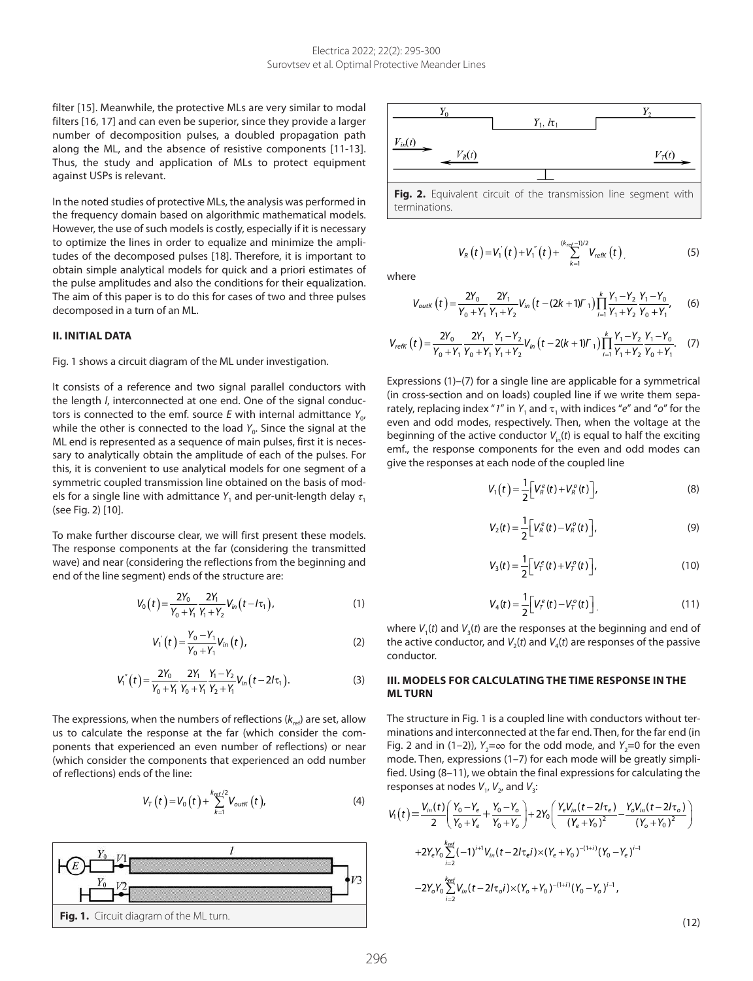<span id="page-1-0"></span>filter [\[15](#page-4-14)]. Meanwhile, the protective MLs are very similar to modal filters [[16,](#page-4-15) [17](#page-4-16)] and can even be superior, since they provide a larger number of decomposition pulses, a doubled propagation path along the ML, and the absence of resistive components [\[11](#page-4-10)[-13\]](#page-4-12). Thus, the study and application of MLs to protect equipment against USPs is relevant.

In the noted studies of protective MLs, the analysis was performed in the frequency domain based on algorithmic mathematical models. However, the use of such models is costly, especially if it is necessary to optimize the lines in order to equalize and minimize the amplitudes of the decomposed pulses [[18](#page-4-17)]. Therefore, it is important to obtain simple analytical models for quick and a priori estimates of the pulse amplitudes and also the conditions for their equalization. The aim of this paper is to do this for cases of two and three pulses decomposed in a turn of an ML.

#### **II. INITIAL DATA**

Fig. 1 shows a circuit diagram of the ML under investigation.

It consists of a reference and two signal parallel conductors with the length *l*, interconnected at one end. One of the signal conductors is connected to the emf. source  $E$  with internal admittance  $Y_{\alpha}$ while the other is connected to the load *Y<sub>0</sub>*. Since the signal at the ML end is represented as a sequence of main pulses, first it is necessary to analytically obtain the amplitude of each of the pulses. For this, it is convenient to use analytical models for one segment of a symmetric coupled transmission line obtained on the basis of models for a single line with admittance  $Y_1$  and per-unit-length delay  $\tau_1$ (see Fig. 2) [\[10](#page-4-9)].

To make further discourse clear, we will first present these models. The response components at the far (considering the transmitted wave) and near (considering the reflections from the beginning and end of the line segment) ends of the structure are:

$$
V_0(t) = \frac{2Y_0}{Y_0 + Y_1} \frac{2Y_1}{Y_1 + Y_2} V_{in}(t - I\tau_1),
$$
\n(1)

$$
V_1'(t) = \frac{Y_0 - Y_1}{Y_0 + Y_1} V_{in}(t),
$$
 (2)

$$
V_1^{''}(t) = \frac{2Y_0}{Y_0 + Y_1} \frac{2Y_1}{Y_0 + Y_1} \frac{Y_1 - Y_2}{Y_2 + Y_1} V_{in}(t - 2I\tau_1).
$$
 (3)

The expressions, when the numbers of reflections  $(k_{ref})$  are set, allow us to calculate the response at the far (which consider the components that experienced an even number of reflections) or near (which consider the components that experienced an odd number of reflections) ends of the line:

$$
V_{T}(t) = V_{0}(t) + \sum_{k=1}^{k_{ref}/2} V_{outk}(t),
$$
 (4)





terminations.

$$
V_R(t) = V'_1(t) + V''_1(t) + \sum_{k=1}^{(k_{ref}-1)/2} V_{refk}(t)
$$
 (5)

where

$$
V_{\text{outK}}\left(t\right) = \frac{2Y_0}{Y_0 + Y_1} \frac{2Y_1}{Y_1 + Y_2} V_{in}\left(t - \left(2k + 1\right)\right) \prod_{i=1}^k \frac{Y_1 - Y_2}{Y_1 + Y_2} \frac{Y_1 - Y_0}{Y_0 + Y_1},\tag{6}
$$

$$
V_{refK}(t) = \frac{2Y_0}{Y_0 + Y_1} \frac{2Y_1}{Y_0 + Y_1} \frac{Y_1 - Y_2}{Y_1 + Y_2} V_{in}(t - 2(k + 1)T_1) \prod_{i=1}^{k} \frac{Y_1 - Y_2}{Y_1 + Y_2} \frac{Y_1 - Y_0}{Y_0 + Y_1}.
$$
 (7)

Expressions (1)–(7) for a single line are applicable for a symmetrical (in cross-section and on loads) coupled line if we write them separately, replacing index "1" in  $Y_1$  and  $\tau_1$  with indices "e" and "o" for the even and odd modes, respectively. Then, when the voltage at the beginning of the active conductor  $V_{in}(t)$  is equal to half the exciting emf., the response components for the even and odd modes can give the responses at each node of the coupled line

$$
V_1(t) = \frac{1}{2} \Big[ V_R^e(t) + V_R^o(t) \Big], \tag{8}
$$

$$
V_2(t) = \frac{1}{2} \Big[ V_R^e(t) - V_R^o(t) \Big],
$$
 (9)

$$
V_3(t) = \frac{1}{2} \Big[ V_T^e(t) + V_T^o(t) \Big],
$$
 (10)

$$
V_4(t) = \frac{1}{2} \Big[ V_T^e(t) - V_T^o(t) \Big] \tag{11}
$$

where  $V_1(t)$  and  $V_3(t)$  are the responses at the beginning and end of the active conductor, and  $V_2(t)$  and  $V_4(t)$  are responses of the passive conductor.

## **III. MODELS FOR CALCULATING THE TIME RESPONSE IN THE ML TURN**

The structure in Fig. 1 is a coupled line with conductors without terminations and interconnected at the far end. Then, for the far end (in Fig. 2 and in (1–2)),  $Y_2=\infty$  for the odd mode, and  $Y_2=0$  for the even mode. Then, expressions (1–7) for each mode will be greatly simplified. Using (8–11), we obtain the final expressions for calculating the responses at nodes  $V_1$ ,  $V_2$ , and  $V_3$ :

$$
V_1(t) = \frac{V_{in}(t)}{2} \left( \frac{Y_0 - Y_e}{Y_0 + Y_e} + \frac{Y_0 - Y_o}{Y_0 + Y_o} \right) + 2Y_0 \left( \frac{Y_e V_{in}(t - 2/\tau_e)}{(Y_e + Y_0)^2} - \frac{Y_o V_{in}(t - 2/\tau_o)}{(Y_o + Y_0)^2} \right)
$$
  
+2Y\_eY\_0 \sum\_{i=2}^{kref} (-1)^{i+1} V\_{in}(t - 2/\tau\_e i) \times (Y\_e + Y\_0)^{-(1+i)} (Y\_0 - Y\_e)^{i-1}  
-2Y\_oY\_0 \sum\_{i=2}^{kref} V\_{in}(t - 2/\tau\_o i) \times (Y\_o + Y\_0)^{-(1+i)} (Y\_0 - Y\_o)^{i-1},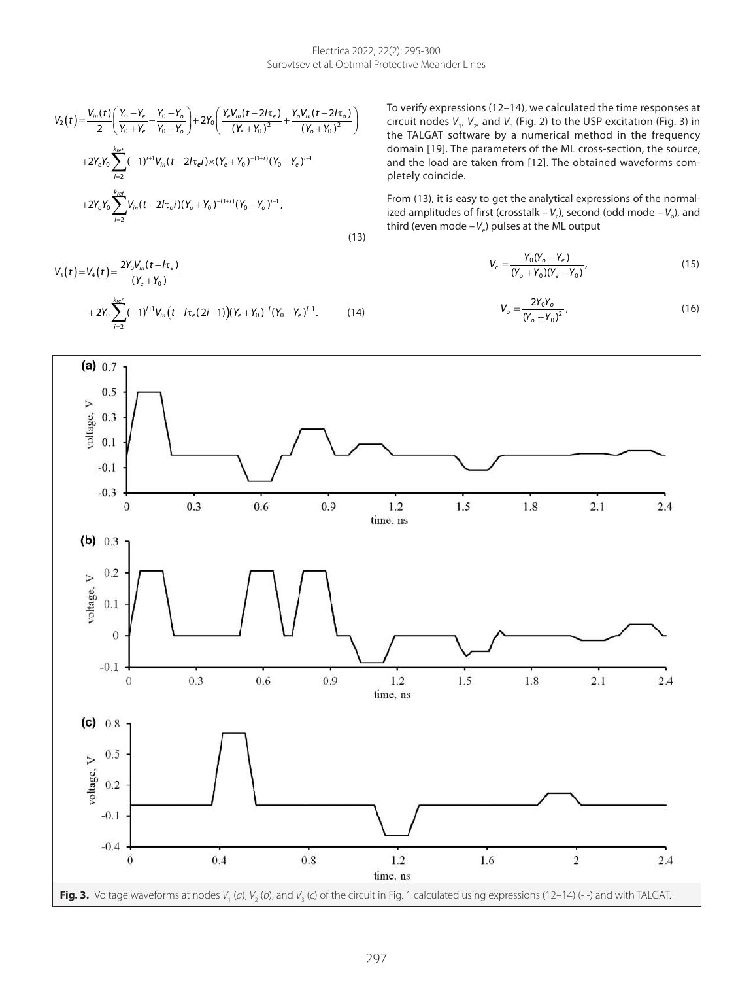$$
V_{2}(t) = \frac{V_{in}(t)}{2} \left( \frac{Y_{0} - Y_{e}}{Y_{0} + Y_{e}} - \frac{Y_{0} - Y_{o}}{Y_{0} + Y_{o}} \right) + 2Y_{0} \left( \frac{Y_{e}V_{in}(t - 2/\tau_{e})}{(Y_{e} + Y_{0})^{2}} + \frac{Y_{o}V_{in}(t - 2/\tau_{o})}{(Y_{o} + Y_{0})^{2}} \right)
$$
  
+2Y\_{e}Y\_{0} \sum\_{i=2}^{k\_{ref}} (-1)^{i+1}V\_{in}(t - 2/\tau\_{e}i) \times (Y\_{e} + Y\_{0})^{-(1+i)} (Y\_{0} - Y\_{e})^{i-1}  
+2Y\_{o}Y\_{0} \sum\_{i=2}^{k\_{ref}} V\_{in}(t - 2/\tau\_{o}i)(Y\_{o} + Y\_{0})^{-(1+i)} (Y\_{0} - Y\_{o})^{i-1}, \qquad (13)

 $+ 2Y_0 \sum_{l} (-1)^{l+1} V_{in} (t - l \tau_e (2l-1)) (Y_e + Y_0)^{-l} (Y_0 -$ 

 $(Y_e + Y_0)^{-i} (Y_0 - Y_e)^{i-1}.$  (14)

*e*

 $(Y_e + Y_0)$ τ

 $V_3(t) = V_4(t) = \frac{2Y_0V_{in}(t-t)}{(Y_e + Y_0)}$ 

 $V_3(t) = V_4(t) = \frac{2r_0v_{in}(t-1)}{(Y_e + Y_0)}$  $(t) = V_4(t) = \frac{2Y_0V_{in}(t - I\tau_e)}{(Y_e + Y_0)}$  To verify expressions (12–14), we calculated the time responses at circuit nodes  $V_1$ ,  $V_2$ , and  $V_3$  [\(Fig. 2](#page-1-0)) to the USP excitation (Fig. 3) in the TALGAT software by a numerical method in the frequency domain [\[19\]](#page-4-18). The parameters of the ML cross-section, the source, and the load are taken from [[12](#page-4-11)]. The obtained waveforms completely coincide.

From (13), it is easy to get the analytical expressions of the normalized amplitudes of first (crosstalk  $-V_c$ ), second (odd mode  $-V_c$ ), and third (even mode  $-V_e$ ) pulses at the ML output

$$
V_c = \frac{Y_0 (Y_o - Y_e)}{(Y_o + Y_0)(Y_e + Y_0)},
$$
\n(15)

$$
V_o = \frac{2Y_0Y_o}{(Y_o + Y_0)^2},\tag{16}
$$

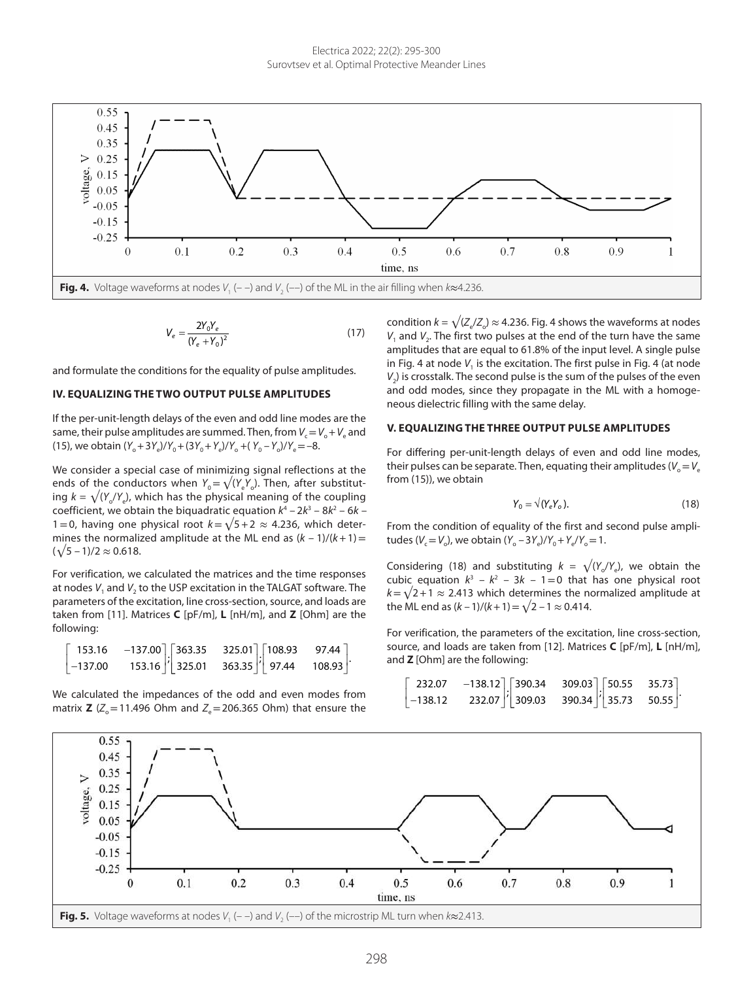

$$
V_e = \frac{2Y_0Y_e}{(Y_e + Y_0)^2}
$$
 (17)

and formulate the conditions for the equality of pulse amplitudes.

### **IV. EQUALIZING THE TWO OUTPUT PULSE AMPLITUDES**

If the per-unit-length delays of the even and odd line modes are the same, their pulse amplitudes are summed. Then, from  $V_c = V_o + V_e$  and  $(Y_0+3Y_e)/Y_0+(3Y_0+Y_e)/Y_0+(Y_0-Y_o)/Y_e=-8.$ 

We consider a special case of minimizing signal reflections at the ends of the conductors when  $Y_0=\sqrt{(Y_4Y_2)}$ . Then, after substituting  $k = \sqrt{(Y_x/Y_y)}$ , which has the physical meaning of the coupling coefficient, we obtain the biquadratic equation  $k^4 - 2k^3 - 8k^2 - 6k -$ 1=0, having one physical root  $k=\sqrt{5+2} \approx 4.236$ , which determines the normalized amplitude at the ML end as  $(k - 1)/(k + 1)$ =  $(\sqrt{5} - 1)/2 \approx 0.618$ .

For verification, we calculated the matrices and the time responses at nodes *V*<sub>1</sub> and *V*<sub>2</sub> to the USP excitation in the TALGAT software. The parameters of the excitation, line cross-section, source, and loads are taken from [[11\]](#page-4-10). Matrices **C** [pF/m], **L** [nH/m], and **Z** [Ohm] are the following:

|           | $153.16$ $-137.00$ $363.35$ $325.01$ $108.93$ 97.44 |  |  |  |
|-----------|-----------------------------------------------------|--|--|--|
| $-137.00$ | $153.16$  1 325.01 363.35  1 97.44 108.93  1        |  |  |  |

We calculated the impedances of the odd and even modes from matrix **Z** ( $Z_{o}$ =11.496 Ohm and  $Z_{o}$ =206.365 Ohm) that ensure the condition  $k = \sqrt{(Z_{\circ}/Z_{\circ})} \approx 4.236$ . Fig. 4 shows the waveforms at nodes *V*<sub>1</sub> and *V*<sub>2</sub>. The first two pulses at the end of the turn have the same amplitudes that are equal to 61.8% of the input level. A single pulse in Fig. 4 at node  $V_1$  is the excitation. The first pulse in Fig. 4 (at node  $V<sub>2</sub>$ ) is crosstalk. The second pulse is the sum of the pulses of the even and odd modes, since they propagate in the ML with a homogeneous dielectric filling with the same delay.

### **V. EQUALIZING THE THREE OUTPUT PULSE AMPLITUDES**

For differing per-unit-length delays of even and odd line modes, their pulses can be separate. Then, equating their amplitudes ( $V_o=V_e$ from (15)), we obtain

$$
Y_0 = \sqrt{(Y_e Y_o)}.
$$
 (18)

From the condition of equality of the first and second pulse amplitudes ( $V_c = V_o$ ), we obtain ( $Y_o - 3Y_e$ )/ $Y_o + Y_e/Y_o = 1$ .

Considering (18) and substituting  $k = \sqrt{(Y_a/Y_a)}$ , we obtain the cubic equation  $k^3 - k^2 - 3k - 1 = 0$  that has one physical root  $k=\sqrt{2+1} \approx 2.413$  which determines the normalized amplitude at the ML end as  $(k-1)/(k+1) = \sqrt{2} - 1 \approx 0.414$ .

For verification, the parameters of the excitation, line cross-section, source, and loads are taken from [\[12](#page-4-11)]. Matrices **C** [pF/m], **L** [nH/m], and **Z** [Ohm] are the following:

$$
\begin{bmatrix} 232.07 & -138.12 \\ -138.12 & 232.07 \end{bmatrix} \begin{bmatrix} 390.34 & 309.03 \\ 309.03 & 390.34 \end{bmatrix} \begin{bmatrix} 50.55 & 35.73 \\ 35.73 & 50.55 \end{bmatrix}.
$$

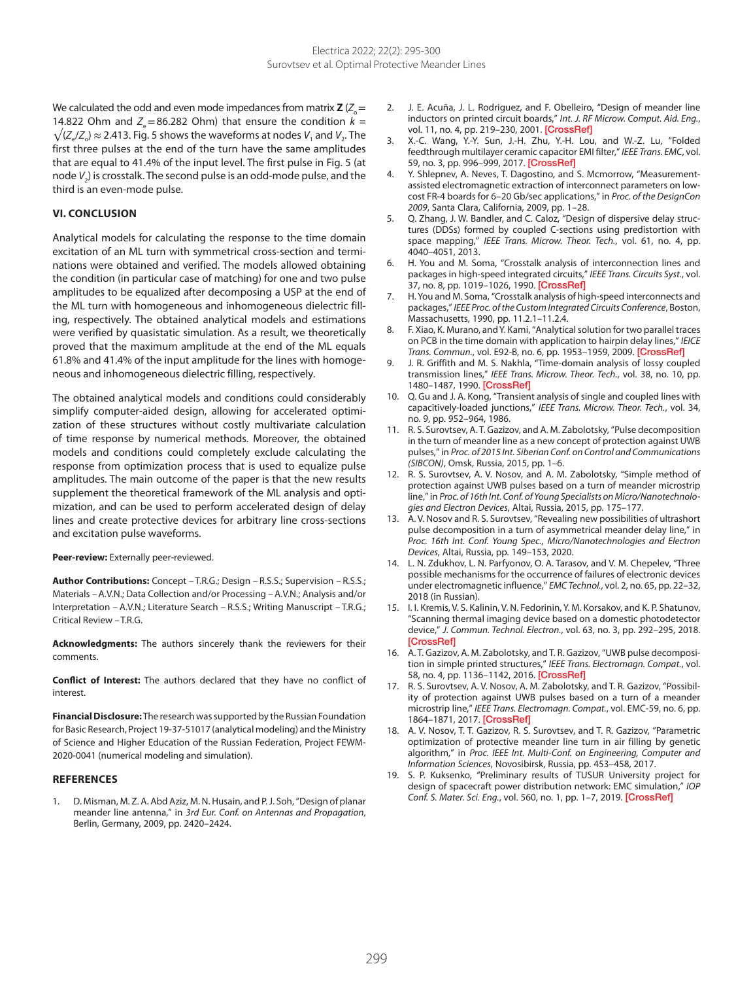We calculated the odd and even mode impedances from matrix  $Z (Z_0 =$ 14.822 Ohm and  $Z = 86.282$  Ohm) that ensure the condition  $k =$  $\sqrt{(Z_a/Z_a)}$  ≈ 2.413. Fig. 5 shows the waveforms at nodes *V*<sub>1</sub> and *V*<sub>2</sub>. The first three pulses at the end of the turn have the same amplitudes that are equal to 41.4% of the input level. The first pulse in Fig. 5 (at node *V*2) is crosstalk. The second pulse is an odd-mode pulse, and the third is an even-mode pulse.

### **VI. CONCLUSION**

Analytical models for calculating the response to the time domain excitation of an ML turn with symmetrical cross-section and terminations were obtained and verified. The models allowed obtaining the condition (in particular case of matching) for one and two pulse amplitudes to be equalized after decomposing a USP at the end of the ML turn with homogeneous and inhomogeneous dielectric filling, respectively. The obtained analytical models and estimations were verified by quasistatic simulation. As a result, we theoretically proved that the maximum amplitude at the end of the ML equals 61.8% and 41.4% of the input amplitude for the lines with homogeneous and inhomogeneous dielectric filling, respectively.

The obtained analytical models and conditions could considerably simplify computer-aided design, allowing for accelerated optimization of these structures without costly multivariate calculation of time response by numerical methods. Moreover, the obtained models and conditions could completely exclude calculating the response from optimization process that is used to equalize pulse amplitudes. The main outcome of the paper is that the new results supplement the theoretical framework of the ML analysis and optimization, and can be used to perform accelerated design of delay lines and create protective devices for arbitrary line cross-sections and excitation pulse waveforms.

#### **Peer-review:** Externally peer-reviewed.

**Author Contributions:** Concept – T.R.G.; Design – R.S.S.; Supervision – R.S.S.; Materials – A.V.N.; Data Collection and/or Processing – A.V.N.; Analysis and/or Interpretation – A.V.N.; Literature Search – R.S.S.; Writing Manuscript – T.R.G.; Critical Review – T.R.G.

**Acknowledgments:** The authors sincerely thank the reviewers for their comments.

**Conflict of Interest:** The authors declared that they have no conflict of interest.

**Financial Disclosure:** The research was supported by the Russian Foundation for Basic Research, Project 19-37-51017 (analytical modeling) and the Ministry of Science and Higher Education of the Russian Federation, Project FEWM-2020-0041 (numerical modeling and simulation).

#### **REFERENCES**

<span id="page-4-0"></span>1. D. Misman, M. Z. A. Abd Aziz, M. N. Husain, and P. J. Soh, "Design of planar meander line antenna," in *3rd Eur. Conf. on Antennas and Propagation*, Berlin, Germany, 2009, pp. 2420–2424.

- <span id="page-4-1"></span>2. J. E. Acuña, J. L. Rodriguez, and F. Obelleiro, "Design of meander line inductors on printed circuit boards," *Int. J. RF Microw. Comput. Aid. Eng.*, vol. 11, no. 4, pp. 219-230, 2001. [\[CrossRef\]](https://doi.org/10.1002/mmce.1027)
- <span id="page-4-2"></span>3. X.-C. Wang, Y.-Y. Sun, J.-H. Zhu, Y.-H. Lou, and W.-Z. Lu, "Folded feedthrough multilayer ceramic capacitor EMI filter," *IEEE Trans. EMC*, vol. 59, no. 3, pp. 996–999, 2017. [\[CrossRef\]](https://doi.org/10.1109/TEMC.2016.2621186)
- <span id="page-4-3"></span>4. Y. Shlepnev, A. Neves, T. Dagostino, and S. Mcmorrow, "Measurementassisted electromagnetic extraction of interconnect parameters on lowcost FR-4 boards for 6–20 Gb/sec applications," in *Proc. of the DesignCon 2009*, Santa Clara, California, 2009, pp. 1–28.
- <span id="page-4-4"></span>5. Q. Zhang, J. W. Bandler, and C. Caloz, "Design of dispersive delay structures (DDSs) formed by coupled C-sections using predistortion with space mapping," *IEEE Trans. Microw. Theor. Tech.*, vol. 61, no. 4, pp. 4040–4051, 2013.
- <span id="page-4-5"></span>6. H. You and M. Soma, "Crosstalk analysis of interconnection lines and packages in high-speed integrated circuits," *IEEE Trans. Circuits Syst.*, vol. 37, no. 8, pp. 1019-1026, 1990. [\[CrossRef\]](https://doi.org/10.1109/31.56075)
- <span id="page-4-6"></span>H. You and M. Soma, "Crosstalk analysis of high-speed interconnects and packages," *IEEE Proc. of the Custom Integrated Circuits Conference*, Boston, Massachusetts, 1990, pp. 11.2.1–11.2.4.
- <span id="page-4-7"></span>8. F. Xiao, K. Murano, and Y. Kami, "Analytical solution for two parallel traces on PCB in the time domain with application to hairpin delay lines," *IEICE Trans. Commun.*, vol. E92-B, no. 6, pp. 1953–1959, 2009. [\[CrossRef\]](https://doi.org/10.1587/transcom.E92.B.1953)
- <span id="page-4-8"></span>9. J. R. Griffith and M. S. Nakhla, "Time-domain analysis of lossy coupled transmission lines," *IEEE Trans. Microw. Theor. Tech.*, vol. 38, no. 10, pp. 1480-1487, 1990. [\[CrossRef\]](https://doi.org/10.1109/22.58689)
- <span id="page-4-9"></span>10. Q. Gu and J. A. Kong, "Transient analysis of single and coupled lines with capacitively-loaded junctions," *IEEE Trans. Microw. Theor. Tech.*, vol. 34, no. 9, pp. 952–964, 1986.
- <span id="page-4-10"></span>11. R. S. Surovtsev, A. T. Gazizov, and A. M. Zabolotsky, "Pulse decomposition in the turn of meander line as a new concept of protection against UWB pulses," in *Proc. of 2015 Int. Siberian Conf. on Control and Communications (SIBCON)*, Omsk, Russia, 2015, pp. 1–6.
- <span id="page-4-11"></span>12. R. S. Surovtsev, A. V. Nosov, and A. M. Zabolotsky, "Simple method of protection against UWB pulses based on a turn of meander microstrip line," in *Proc. of 16th Int. Conf. of Young Specialists on Micro/Nanotechnologies and Electron Devices*, Altai, Russia, 2015, pp. 175–177.
- <span id="page-4-12"></span>13. A. V. Nosov and R. S. Surovtsev, "Revealing new possibilities of ultrashort pulse decomposition in a turn of asymmetrical meander delay line," in *Proc. 16th Int. Conf. Young Spec.*, *Micro/Nanotechnologies and Electron Devices*, Altai, Russia, pp. 149–153, 2020.
- <span id="page-4-13"></span>14. L. N. Zdukhov, L. N. Parfyonov, O. A. Tarasov, and V. M. Chepelev, "Three possible mechanisms for the occurrence of failures of electronic devices under electromagnetic influence," *EMC Technol.*, vol. 2, no. 65, pp. 22–32, 2018 (in Russian).
- <span id="page-4-14"></span>15. I. I. Kremis, V. S. Kalinin, V. N. Fedorinin, Y. M. Korsakov, and K. P. Shatunov, "Scanning thermal imaging device based on a domestic photodetector device," *J. Commun. Technol. Electron.*, vol. 63, no. 3, pp. 292–295, 2018. **[\[CrossRef\]](https://doi.org/10.1134/S1064226918030117)**
- <span id="page-4-15"></span>16. A. T. Gazizov, A. M. Zabolotsky, and T. R. Gazizov, "UWB pulse decomposition in simple printed structures," *IEEE Trans. Electromagn. Compat.*, vol. 58, no. 4, pp. 1136–1142, 2016. [\[CrossRef\]](https://doi.org/10.1109/TEMC.2016.2548783)
- <span id="page-4-16"></span>17. R. S. Surovtsev, A. V. Nosov, A. M. Zabolotsky, and T. R. Gazizov, "Possibility of protection against UWB pulses based on a turn of a meander microstrip line," *IEEE Trans. Electromagn. Compat.*, vol. EMC-59, no. 6, pp. 1864–1871, 2017. [\[CrossRef\]](https://doi.org/10.1109/TEMC.2017.2678019)
- <span id="page-4-17"></span>18. A. V. Nosov, T. T. Gazizov, R. S. Surovtsev, and T. R. Gazizov, "Parametric optimization of protective meander line turn in air filling by genetic algorithm," in *Proc. IEEE Int. Multi-Conf. on Engineering, Computer and Information Sciences*, Novosibirsk, Russia, pp. 453–458, 2017.
- <span id="page-4-18"></span>19. S. P. Kuksenko, "Preliminary results of TUSUR University project for design of spacecraft power distribution network: EMC simulation," *IOP Conf. S. Mater. Sci. Eng.*, vol. 560, no. 1, pp. 1–7, 2019. [\[CrossRef\]](https://doi.org/10.1088/1757-899X/560/1/012110)